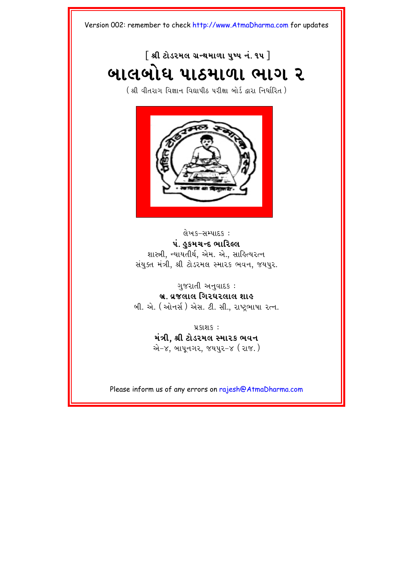### $\lceil$  શ્રી ટોડરમલ ગ્રન્થમાળા ૫ષ્પ નં. ૧૫  $\rceil$ <mark>બાલબોધ પાઠમાળા ભાગ ૨</mark>

 $($  શ્રી વીતરાગ વિજ્ઞાન વિદ્યાપીઠ પરીક્ષા બોર્ડ દ્વારા નિર્ધારિત  $)$ 



લેખક–સમ્પાદક : પં. હુકમચન્દ ભારિલ્લ શાસ્ત્રી, ન્યાયતીર્થ, એમ. એ., સાહિત્યરત્ન સંયુક્ત મંત્રી, શ્રી ટોડરમલ સ્મારક ભવન, જયપુર.

ગુજરાતી અનુવાદક:

<u>બ્ર. વ્રજલાલ ગિરધરલાલ શાહ</u>

બી. એ. (ઓનર્સ) એસ. ટી. સી., રાષ્ટ્રભાષા રત્ન.

 $9.5191.5$ : મંત્રી, શ્રી ટોડરમલ સ્મારક **ભવન** એ-૪. બાપનગર. જયપર-૪ (રાજ.)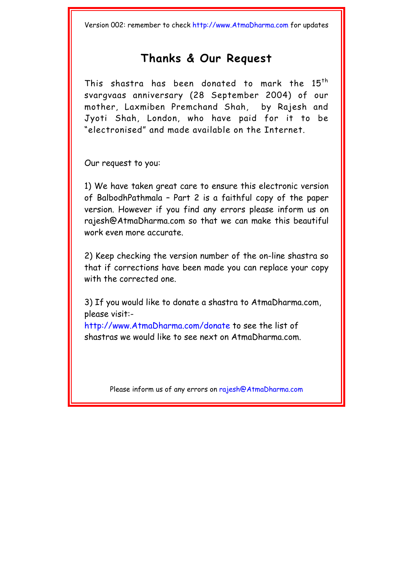### **Thanks & [Our Request](http://www.AtmaDharma.com)**

This shastra has been donated to mark the 15<sup>th</sup> svargvaas anniversary (28 September 2004) of our mother, Laxmiben Premchand Shah, by Rajesh and Jyoti Shah, London, who have paid for it to be "electronised" and made available on the Internet.

Our request to you:

1) We have taken great care to ensure this electronic version of Balbodh[Pathmala – Part 2 is a fai](http://www.AtmaDharma.com)thful copy of the paper version. However if you find any errors please inform us on rajesh@AtmaDharma.com so that we can make this beautiful w[ork even more accurate.](mailto:rajesh@AtmaDharma.com) 

2) Keep checking the version number of the on-line shastra so that if corrections have been made you can replace your copy with the corrected one.

3) If you would like to donate a shastra to AtmaDharma.com, please visit:-

http://www.AtmaDharma.com/donate to see the list of s[hastras we would like to see next on A](http://www.atmadharma.com/donate)tmaDharma.com.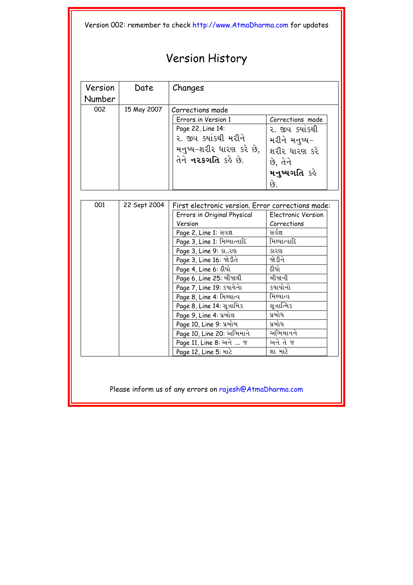### Versi[on History](http://www.AtmaDharma.com)

| Version | Date        | Changes                  |                  |
|---------|-------------|--------------------------|------------------|
| Number  |             |                          |                  |
| 002     | 15 May 2007 | Corrections made         |                  |
|         |             | Errors in Version 1      | Corrections made |
|         |             | Page 22, Line 14:        | ૨. જીવ ક્યાંકથી  |
|         |             | ૨. જીવ ક્યાંકથી મરીને    | મરીને મનુષ્ય–    |
|         |             | મનુષ્ય-શરીર ધારણ કરે છે, | શરીર ધારણ કરે    |
|         |             | તેને નરકગતિ કહે છે.      | છે, તેને         |
|         |             |                          | મનુષ્યગતિ કહે    |
|         |             |                          | છે.              |

| 001 | 22 Sept 2004 | First electronic version. Error corrections made: |                    |  |
|-----|--------------|---------------------------------------------------|--------------------|--|
|     |              | Errors in Original Physical                       | Electronic Version |  |
|     |              | Version                                           | Corrections        |  |
|     |              | Page 2, Line 1: सवज्ञ                             | સર્વજ્ઞ            |  |
|     |              | Page 3, Line 1: મિથ્યાત્તાદિ                      | મિથ્યાત્વાદિ       |  |
|     |              | Page 3, Line 9: SL. 291                           | કારણ               |  |
|     |              | Page 3, Line 16: જોડીતે                           | જોડીને             |  |
|     |              | Page 4, Line 6: 8[4]                              | દીધો               |  |
|     |              | Page 6, Line 25: બીજાથી                           | બીજાની             |  |
|     |              | Page 7, Line 19: કપાયેના                          | કષાયોનો            |  |
|     |              | Page 8, Line 4: મિથ્થાત્વ                         | મિથ્યાત્વ          |  |
|     |              | Page 8, Line 14: સૂત્રામિક                        | સૂત્રાત્મિક        |  |
|     |              | Page 9, Line 4: પ્રબોલ                            | પ્રબોધ             |  |
|     |              | Page 10, Line 9: પ્રબોબ                           | પ્રબોધ             |  |
|     |              | Page 10, Line 20: અભિમાને                         | અભિમાનને           |  |
|     |              | Page 11, Line 8: अने  %                           | અને તે જ           |  |
|     |              | Page 12, Line 5: માટે                             | શા માટે            |  |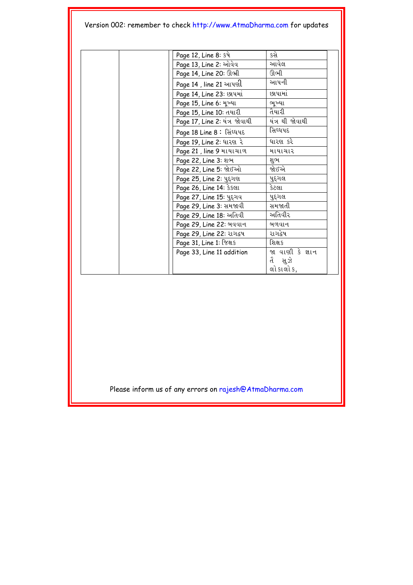| Page 12, Line 8: કષે          | કસે              |
|-------------------------------|------------------|
| Page 13, Line 2: ઓવેવ         | આવેલ             |
| Page 14, Line 20: 01.91       | ઊભી              |
| Page 14 , line 21 આપણી        | આપની             |
| Page 14, Line 23: Elluti      | છાપામાં          |
| Page 15, Line 6: મૂખ્યા       | ભૂખ્યા           |
| Page 15, Line 10: તયારી       | તૈયારી           |
| Page 17, Line 2: યંત્ર જોવાથી | યંત્ર થી જોવાથી  |
| Page 18 Line 8: સિંઘ્ધપદ      | સિઘ્ધપદ          |
| Page 19, Line 2: ધારણ રે      | ધારણ કરે         |
| Page 21, line 9 માયાચાળ       | માયાચાર          |
| Page 22, Line 3: શભ           | શુભ              |
| Page 22, Line 5: જોઈઓ         | જોઈએ             |
| Page 25, Line 2: yavel        | પુદ્ગલ           |
| Page 26, Line 14: ssell       | કેટલા            |
| Page 27, Line 15: પુદ્ગવ      | પુદ્ગલ           |
| Page 29, Line 3: સમજાવી       | સમજાતી           |
| Page 29, Line 18: અતિવી       | અતિવીર           |
| Page 29, Line 22: બવવાન       | બળવાન            |
| Page 29, Line 22: રાગદ્વષ     | રાગદેષ           |
| Page 31, Line 1: જિક્ષક       | શિક્ષક           |
| Page 33, Line 11 addition     | જા વાણી કે જ્ઞાન |
|                               | તૈ સૂઝે          |
|                               | લો કાલો ક,       |
|                               |                  |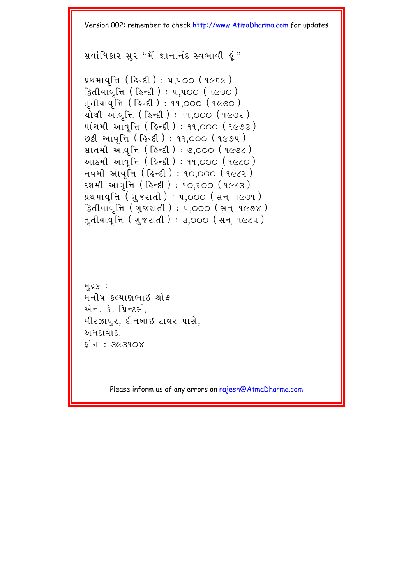$\mathcal{R}$  all  $\mathcal{R}$  and  $\mathcal{R}$  and  $\mathcal{R}$  and  $\mathcal{R}$  and  $\mathcal{R}$ 

```
yथभावृत्ति (हिन्दी) : y, y00 (१८६८)
દ્વિતીયાવૃત્તિ ( હિન્દી ) : ૫,૫૦૦ ( ૧૯૭૦ )
તૃતીયાવૃત્તિ ( હિન્દી ) : ૧૧,૦૦૦ ( ૧૯૭૦ )
ચોથી આવૃત્તિ (હિન્દી): ૧૧,૦૦૦ (૧૯૭૨)
પાંચમી આવૃત્તિ ( હિન્દી) : 11,000 (1૯૭૩)
છઠ્ઠી આવૃત્તિ ( હિન્દી ) : ૧૧,૦૦૦ ( ૧૯૭૫ )
સાતમી આંવૃત્તિ (હિન્દી) : ૭,૦૦૦ (૧૯૭૮)
આઠમી આવત્તિ ( હિન્દી ) : ૧૧,૦૦૦ (૧૯૮૦ )
\pi44 આવતિ (હિન્દી): ૧૦.૦૦૦ (૧૯૮૨)
દશમી આવૃત્તિ ( હિન્દી ) : ૧૦,૨૦૦ ( ૧૯૮૩ )
પ્રથમાવૃત્તિ (ગુજરાતી) : ૫,૦૦૦ (સન ૧૯૭૧)
દ્વિતીયાવૃત્તિ (ગુજરાતી) : ૫,૦૦૦ (સન ૧૯૭૪)
તતીયાવૃત્તિ (ગુજરાતી) : 3,000 (સન ૧૯૮૫)
```

```
HSS:મનીષ કલ્યાણભાઇ શ્રોફ
એન. કે. પ્રિન્ટર્સ,
મીરઝાપર. દીનબાઇ ટાવર પાસે.
અમદાવાદ.
fil = 363108
```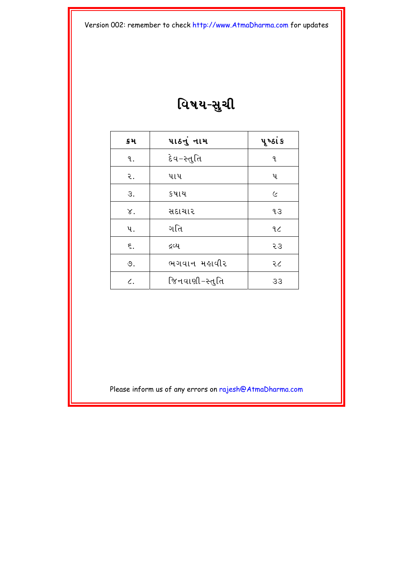### વિષય-સુચી

| ક્રમ         | પાઠનું નામ     | પૃ ષ્ઠાં ક |
|--------------|----------------|------------|
| ٩.           | દેવ−સ્તુતિ     | ٩.         |
| ર.           | પાપ            | પ          |
| З.           | કષાય           | $\epsilon$ |
| $\chi$ .     | સદાચાર         | qз         |
| પ.           | ગતિ            | 9<         |
| ξ.           | દ્રવ્ય         | 53         |
| ৩.           | ભગવાન મહાવીર   | २८         |
| $\epsilon$ . | જિનવાણી−સ્તુતિ | 33         |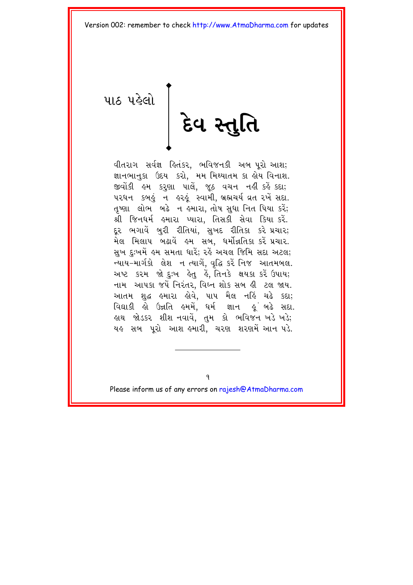<span id="page-6-0"></span>us used |<br>Eq 2 del

વીતરાગ સર્વજ્ઞ હિતંકર, ભવિજનકી અબ પરો આશ; જ્ઞાનભાનુકા ઉદય કરો, મમ મિથ્યાતમ કા હોય વિનાશ. જીવોંકી હુમ કરૂણા પાલે, જુઠ વચન નહીં કહેં કદા; ૫૨ધન કબહું ન હરહું સ્વામી, બ્રહ્મચર્ય વ્રત રખેં સદા. તૃષ્ણા લોભ બઢે ન હમારા, તોષ સુધા નિત પિયા કરેં; શ્રી જિનધર્મ હમારા પ્યારા, તિસકી સેવા કિયા કરેં. દર ભગાવેં બુરી રીતિયાં, સુખદ રીતિકા કરે પ્રચાર; મેલ મિલાપ બઢાવેં હુમ સબ, ધર્મોન્નતિકા કરેં પ્રચાર. સુખ દુઃખમેં હુમ સમતા ધારે; રહે અચલ જિમિ સદા અટલ; ન્યાય-માર્ગકો લેશ ન ત્યાગેં. વૃદ્ધિ કરેં નિજ આતમબલ. અષ્ટ કરમ જો દુઃખ હેતુ હેં, તિનકે ક્ષયકા કરેં ઉપાય; નામ આપકા જપેં નિરંતર, વિઘ્ન શોક સબ હી ટલ જાય. આતમ શુદ્ધ હુમારા હોવે, પાપ મૈલ નહિં ચઢે કદા; વિદ્યાકી હો ઉન્નતિ હમમેં, ધર્મ જ્ઞાન હુંબઢે સદા. હાથ જોડકર શીશ નવાવે, તુમ કો ભવિજન ખડે ખડે; યહુ સબ પુરો આશુ હુમારી, ચરણ શરણમેં આનુ પડે.

Please inform us of any errors on rajesh@AtmaDharma.com

9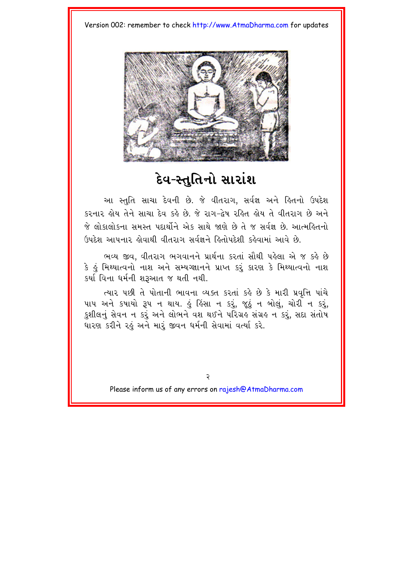

#### દેવ-સ્તુતિનો સારાંશ **e**

આ સ્તુતિ સાચા દેવની છે. જે વીતરાગ, સર્વજ્ઞ અને હિતનો ઉપદેશ કરનાર હોય તેને સાચા દેવ કહે છે. જે રાગ-દેષ રહિત હોય તે વીતરાગ છે અને જે લોકાલોકના સમસ્ત પદાર્થોને એક સાથે જાણે છે તે જ સર્વજ્ઞ છે. આત્મહિતનો ઉપદેશ આપનાર હોવાથી વીતરાગ સર્વજ્ઞને હિતોપદેશી કહેવામાં આવે છે.

ભવ્ય જીવ, વીતરાગ ભગવાનને પ્રાર્થના કરતાં સૌથી પહેલા એ જ કહે છે કે હં મિથ્યાત્વનો નાશ અને સમ્યગ્જ્ઞાનને પ્રાપ્ત કરૂં કારણ કે મિથ્યાત્વનો નાશ કર્યા વિના ધર્મની શરૂઆત જ થતી નથી.

ત્યાર પછી તે પોતાની ભાવના વ્યક્ત કરતાં કહે છે કે મારી પ્રવૃત્તિ પાંચે પાપ અને કષાયો રૂપ ન થાય. હું હિંસા ન કરું, જૂઠું ન બોલું, ચોરી ન કરું, કુશીલનું સેવન ન કરું અને લોભને વશ થઈને પરિગ્રિ સંગ્રહ ન કરું, સદા સંતોષ ધારણ કરીને રહું અને મારૂં જીવન ધર્મની સેવામાં વર્ત્યા કરે.

२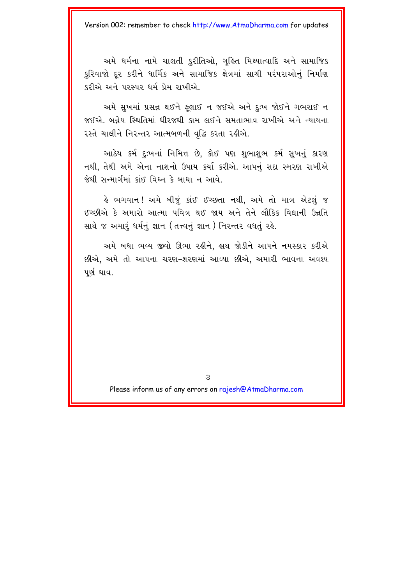અમે ધર્મના નામે ચાલતી કુરીતિઓ, ગૃહિત મિથ્યાત્વાદિ અને સામાજિક કરિવાજો દર કરીને ધાર્મિક અને સામાજિક ક્ષેત્રમાં સાચી પરંપરાઓનું નિર્માણ કરીએ અને પરસ્પર ધર્મ પ્રેમ રાખીએ.

અમે સુખમાં પ્રસન્ન થઈને ફૂલાઈ ન જઈએ અને દુઃખ જોઈને ગભરાઈ ન જઈએ. બન્નેય સ્થિતિમાં ધીરજથી કામ લઈને સમતાભાવ રાખીએ અને ન્યાયના રસ્તે ચાલીને નિરન્તર આત્મબળની વૃદ્ધિ કરતા રહીએ.

આઠેય કર્મ દુઃખનાં નિમિત્ત છે, કોઈ પણ શુભાશુભ કર્મ સુખનું કારણ નથી, તેથી અમે એના નાશનો ઉપાય કર્યા કરીએ. આપનું સદા સ્મરણ રાખીએ જેથી સન્માર્ગમાં કાંઈ વિઘ્ન કે બાધા ન આવે.

હે ભગવાન! અમે બીજં કાંઈ ઈચ્છતા નથી. અમે તો માત્ર એટલ<mark>ં</mark> જ ઈચ્છીએ કે અમારો આત્મા પવિત્ર થઈ જાય અને તેને લૌકિક વિદ્યાની ઉન્નતિ સાથે જ અમારૂં ધર્મનું જ્ઞાન (તત્ત્વનું જ્ઞાન ) નિરન્તર વધતું રહે.

અમે બધા ભવ્ય જીવો ઊભા રહીને. હાથ જોડીને આપને નમસ્કાર કરીએ છીએ. અમે તો આપના ચરણ-શરણમાં આવ્યા છીએ. અમારી ભાવના અવશ્ય પર્ણ થાવ.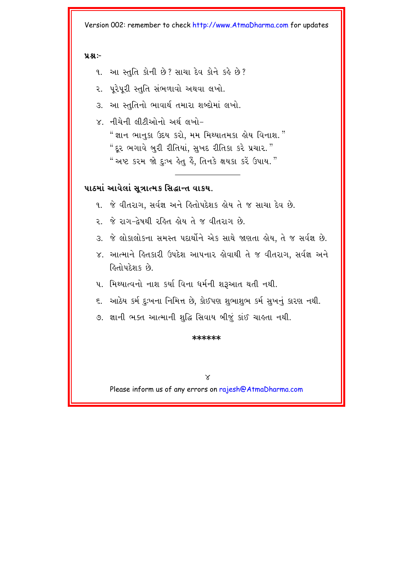#### $9.81 -$

- આ સ્તુતિ કોની છે? સાચા દેવ કોને કહે છે?  $9<sub>1</sub>$
- ૨. પુરેપુરી સ્તુતિ સંભળાવો અથવા લખો.
- આ સ્તુતિનો ભાવાર્થ તમારા શબ્દોમાં લખો.  $\mathcal{S}_{\mathcal{L}}$
- $\times$  નીચેની લીટીઓનો અર્થલખો-" જ્ઞાન ભાનકા ઉદય કરો. મમ મિથ્યાતમકા હોય વિનાશ." "દર ભગાવે બુરી રીતિયાં, સુખદ રીતિકા કરે પ્રચાર." " અષ્ટ કરમ જો દઃખ હેત હૈ. તિનકે ક્ષયકા કરેં ઉપાય."

#### પાઠમાં આવેલાં સત્રાત્મક સિદ્ધાન્ત વાકય.

- ૧. જે વીતરાગ, સર્વજ્ઞ અને હિતોપદેશક હોય તે જ સાચા દેવ છે.
- ૨. જે રાગ-દેષથી રહિત હોય તે જ વીતરાગ છે.
- ૩. જે લોકાલોકના સમસ્ત પદાર્થોને એક સાથે જાણતા હોય. તે જ સર્વજ્ઞ છે.
- ૪. આત્માને હિતકારી ઉપદેશ આપનાર હોવાથી તે જ વીતરાગ, સર્વજ્ઞ અને હિતોપદેશક છે
- ૫. મિથ્યાત્વનો નાશ કર્યા વિના ધર્મની શરૂઆત થતી નથી.
- ૬. આઠેય કર્મ દઃખના નિમિત્ત છે. કોઈપણ શભાશભ કર્મ સખનં કારણ નથી.
- ૭. જ્ઞાની ભક્ત આત્માની શુદ્ધિ સિવાય બીજું કાંઈ ચાહતા નથી.

#### \*\*\*\*\*\*

 $\times$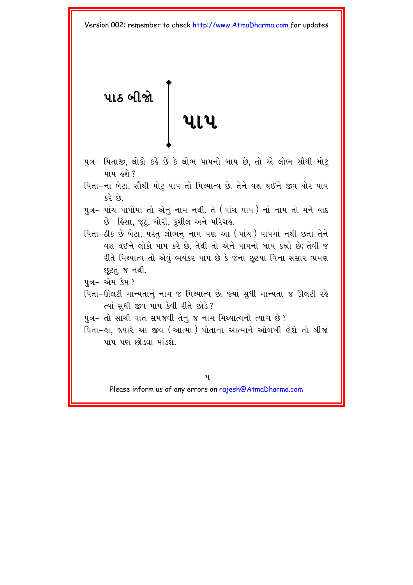<span id="page-10-0"></span>**pa@ bIÔe**  <u>.</u><br>પાપ

- પુત્ર- પિતાજી, લોકો કર્લ છે કે લોભ પાપનો બાપ છે, તો એ લોભ સૌથી મોટું પાપ હશે ?
- પિતા–ના બેટા, સૌથી મોટું પાપ તો મિથ્યાત્વ છે. તેને વશ થઈને જીવ ઘોર પાપ કરે છે.
- પુત્ર– પાંચ પાપોમાં તો એનું નામ નથી. તે (પાંચ પાપ ) નાં નામ તો મને યાદ છે– હિંસા, જૂઠું, ચોરી, કુશીલ અને પરિગ્રહ.
- પિતા-ઠીક છે બેટા, પરંતુ લોભનું નામ પણ આ (પાંચ) પાપમાં નથી છતાં તેને વશ થઈને લોકો પાપ કરે છે. તેથી તો એને પાપનો બાપ કહ્યો છે; તેવી જ રીતે મિથ્યાત્વ તો એવું ભયંકર પાપ છે કે જેના છુટયા વિના સંસાર ભ્રમણ છૂટતું જ નથી.
- પત્ર– એમ કેમ?
- પિતા-ઊલટી માન્યતાનું નામ જ મિથ્યાત્વ છે. જ્યાં સુધી માન્યતા જ ઊલટી રહે ત્યાં સુધી જીવ પાપ કેવી રીતે છોડે?
- પુત્ર- તો સાચી વાત સમજવી તેનું જ નામ મિથ્યાત્વનો ત્યાગ છે?
- પિતા–હા, જ્યારે આ જીવ (આત્મા) પોતાના આત્માને ઓળખી લેશે તો બીજાં પાપ પણ છોડવા માંડશે.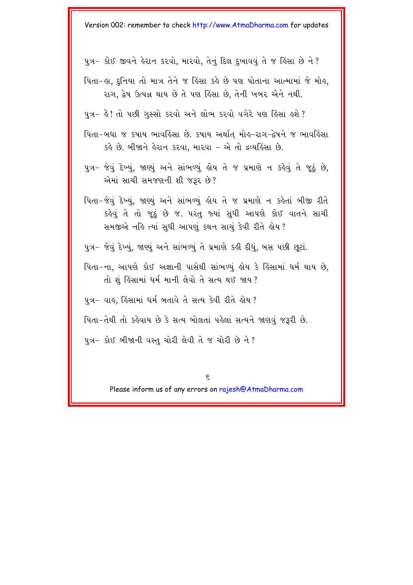- પુત્ર- કોઈ જીવને હેરાન કરવો, મારવો, તેનું દિલ દુખાવવું તે જ હિંસા છે ને?
- પિતા-લા. દનિયા તો માત્ર તેને જ હિંસા કહે છે પણ પોતાના આત્મામાં જે મોલ. રાગ, દ્વેષ ઉત્પન્ન થાય છે તે પણ કિંસા છે, તેની ખબર એને નથી.
- પુત્ર– હૈ! તો પછી ગુસ્સો કરવો અને લોભ કરવો વગેરે પણ હિંસા હશે?
- પિતા–બધા જ કપાય ભાવહિંસા છે. કપાય અર્થાત્ મોહ–રાગ–દ્વેષને જ ભાવહિંસા કહે છે. બીજાને હેરાન કરવા, મારવા – એ તો દ્રવ્યહિંસા છે.
- પુત્ર- જેવું દેખ્યું, જાણ્યું અને સાંભળ્યું હોય તે જ પ્રમાણે ન કહેવું તે જૂઠું છે, એમાં સાચી સમજણની શી જરૂર છે?
- પિતા-જેવું દેખ્યું, જાણ્યું અને સાંભળ્યું હોય તે જ પ્રમાણે ન કહેતાં બીજી રીતે કહેવું તે તો જૂઠું છે જ. પરંતુ જ્યાં સુધી આપણે કોઈ વાતને સાચી સમજીએ નહિ ત્યાં સુધી આપણું કથન સાચું કેવી રીતે હોય ?
- પુત્ર- જેવું દેખ્યું, જાણ્યું અને સાંભળ્યું તે પ્રમાણે કહી દીધું, બસ પછી છૂટાં.
- મિતા-ના. આપણે કોઈ અજ્ઞાની પાસેથી સાંભળ્યં લેય કે હિંસામાં ધર્મ થાય છે. તો શું હિંસામાં ધર્મ માની લેવો તે સત્ય થઈ જાય?

પુત્ર– વાહ, હિંસામાં ધર્મ બતાવે તે સત્ય કેવી રીતે હોય ?

પિતા–તેથી તો કહેવાય છે કે સત્ય બોલતાં પહેલાં સત્યને જાણવું જરૂરી છે.

પુત્ર– કોઈ બીજાની વસ્તુ ચોરી લેવી તે જ ચોરી છે ને ?

6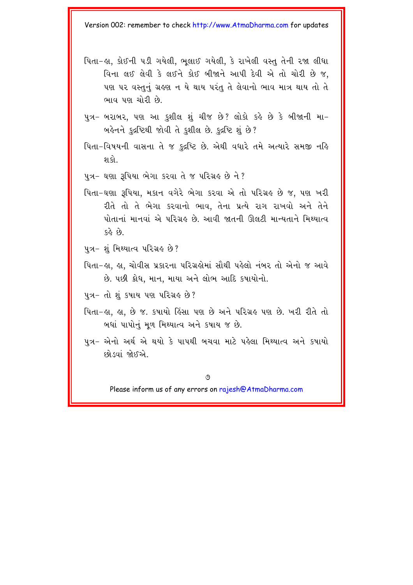- પિતા-હા, કોઈની પડી ગયેલી, ભૂલાઈ ગયેલી, કે રાખેલી વસ્તુ તેની રજા લીધા વિના લઈ લેવી કે લઈને કોઈ બીજાને આપી દેવી એ તો ચોરી છે જ. પણ પર વસ્તુનું ગ્રહણ ન યે થાય પરંતુ તે લેવાનો ભાવ માત્ર થાય તો તે ભાવ પણ ચોરી છે.
- પુત્ર- બરાબર, પણ આ કુશીલ શું ચીજ છે? લોકો કહે છે કે બીજાની મા-બહેનને કુદ્રષ્ટિથી જોવી તે કુશીલ છે. કુદ્રષ્ટિ શું છે?
- પિતા-વિષયની વાસના તે જ કુદ્રષ્ટિ છે. એથી વધારે તમે અત્યારે સમજી નહિ શ કો
- પુત્ર- ઘણા રૂપિયા ભેગા કરવા તે જ પરિગ્રહ છે ને ?
- પિતા-ઘણા રૂપિયા, મકાન વગેરે ભેગા કરવા એ તો પરિગ્રહ છે જ, પણ ખરી રીતે તો તે ભેગા કરવાનો ભાવ, તેના પ્રત્યે રાગ રાખવો અને તેને પોતાનાં માનવાં એ પરિગ્રહ છે. આવી જાતની ઊલટી માન્યતાને મિથ્યાત્વ  $58.9.$
- ૫ત્ર- શંમિથ્યાત્વ પરિગ્રહ છે?
- પિતા-લા. લા. ચોવીસ પ્રકારના પરિગ્રહોમાં સૌથી પહેલો નંબર તો એનો જ આવે છે. પછી ક્રોધ, માન, માયા અને લોભ આદિ કપાયોનો.
- પુત્ર− તો શું કપાય પણ પરિગ્રહ છે?
- પિતા-હા, હા, છે જ. કપાયો હિંસા પણ છે અને પરિગ્રહ પણ છે. ખરી રીતે તો બધાં પાપોનું મૂળ મિથ્યાત્વ અને કપાય જ છે.
- પુત્ર- એનો અર્થ એ થયો કે પાપથી બચવા માટે પહેલા મિથ્યાત્વ અને કપાયો છોડવાં જોઈએ

 $\varphi$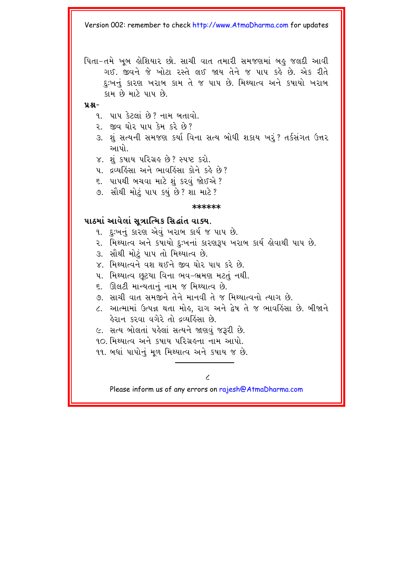પિતા-તમે ખૂબ લેશિયાર છો. સાચી વાત તમારી સમજણમાં બહુ જલદી આવી ગઈ. જીવને જે ખોટા રસ્તે લઈ જાય તેને જ પાપ કહે છે. એક રીતે દઃખનં કારણ ખરાબ કામ તે જ પાપ છે. મિથ્યાત્વ અને કષાયો ખરાબ કામ છે માટે પાપ છે.

 $4.8 -$ 

- ૧. પાપ કેટલાં છે? નામ બતાવો.
- ૨. જીવ ઘોર પાપ કેમ કરે છે?
- ૩. શું સત્યની સમજણ કર્યા વિના સત્ય બોધી શકાય ખરૂં? તર્કસંગત ઉત્તર આપો
- ૪. શંકપાય પરિગ્રહ છે? સ્પષ્ટ કરો.
- ૫. દ્રવ્યકિંસા અને ભાવકિંસા કોને કર્ક છે?
- ૬. પાપથી બચવા માટે શું કરવું જોઈએ ?
- ૭. સૌથી મોટું પાપ કયું છે? શા માટે?

#### \*\*\*\*\*\*

#### પાઠમાં આવેલાં સુત્રાત્મિક સિદ્ધાંત વાક્ય.

- ૧. દઃખનું કારણ એવું ખરાબ કાર્ય જ પાપ છે.
- ૨. મિથ્યાત્વ અને કષાયો દુઃખનાં કારણરૂપ ખરાબ કાર્ય હોવાથી પાપ છે.
- ૩. સૌથી મોટં પાપ તો મિથ્યાત્વ છે.
- $\times$  મિશ્યાત્વને વશુ થઈને જીવ ઘોર પાપ કરે છે
- ૫. મિથ્યાત્વ છટયા વિના ભવ-ભ્રમણ મટતં નથી.
- ૬. ઊલટી માન્યતાનું નામ જ મિથ્યાત્વ છે.
- ૭. સાચી વાત સમજીને તેને માનવી તે જ મિથ્યાત્વનો ત્યાગ છે.
- ૮. આત્મામાં ઉત્પન્ન થતા મોહ, રાગ અને દ્વેષ તે જ ભાવહિંસા છે. બીજાને હેરાન કરવા વગેરે તો દ્રવ્યહિંસા છે.
- ૯. સત્ય બોલતાં પહેલાં સત્યને જાણવું જરૂરી છે.
- ૧૦ મિથ્યાત્વ અને કપાય પરિગ્રહના નામ આપો.
- ૧૧. બધાં પાપોનું મળ મિથ્યાત્વ અને કપાય જ છે.

 $\overline{\mathcal{L}}$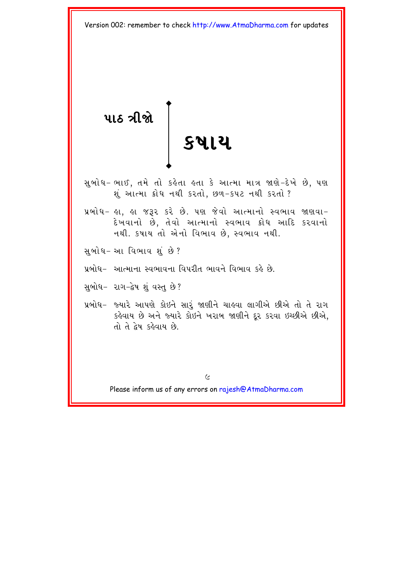<span id="page-14-0"></span><mark>પાઠ ત્રીજ</mark>ો |<br>| ક**ષાય** 

સુબોધ-ભાઈ, તમે તો કહેતા હતા કે આત્મા માત્ર જાણે-દેખે છે, પણ શું આત્મા ક્રોધ નથી કરતો, છળ-કપટ નથી કરતો?

- પ્રબોધ- હા, હા જરૂર કરે છે. ૫ણ જેવો આત્માનો સ્વભાવ જાણવા-દેખવાનો છે, તેવો આત્માનો સ્વભાવ ક્રોધ આદિ કરવાનો નથી. કષાય તો એનો વિભાવ છે, સ્વભાવ નથી.
- સબોધ-આ વિભાવ શું છે?
- પ્રબોધ- આત્માના સ્વભાવના વિપરીત ભાવને વિભાવ કહે છે.
- સુબોધ- રાગ-દ્વેષ શું વસ્તુ છે?
- પ્રબોધ- જ્યારે આપણે કોઇને સારૂં જાણીને ચાહવા લાગીએ છીએ તો તે રાગ કહેવાય છે અને જ્યારે કોઇને ખરાબ જાણીને દૂર કરવા ઇચ્છીએ છીએ, તો તે દેષ કહેવાય છે.

 $\epsilon$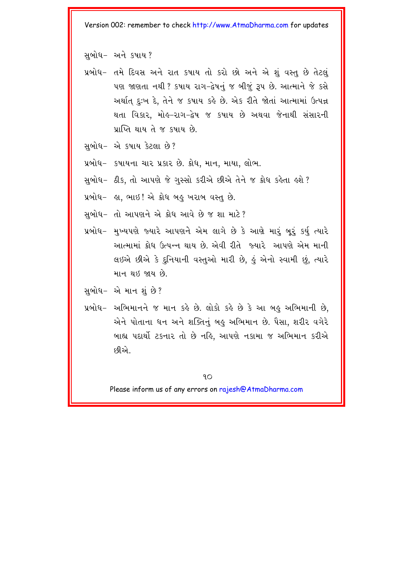સબોધ- અને કપાય?

- પ્રબોધ- તમે દિવસ અને રાત કપાય તો કરો છો અને એ શું વસ્તુ છે તેટલું પણ જાણતા નથી ? કપાય રાગ-દેષનું જ બીજું રૂપ છે. આત્માને જે કસે અર્થાત્ દુઃખ દે, તેને જ કપાય કહે છે. એક રીતે જોતાં આત્મામાં ઉત્પન્ન થતા વિકાર, મોલ્-રાગ-દ્વેષ જ કપાય છે અથવા જેનાથી સંસારની પ્રાપ્તિ થાય તે જ કપાય છે.
- સબોધ- એ કપાય કેટલા છે?
- પ્રબોધ- કપાયના ચાર પ્રકાર છે. ક્રોધ, માન, માયા, લોભ.
- સુબોધ- ઠીક, તો આપણે જે ગુસ્સો કરીએ છીએ તેને જ ક્રોધ કહેતા હશે ?
- $y$ બોધ- હા, ભાઇ! એ ક્રોધ બહુ ખરાબ વસ્તુ છે.
- સુબોધ- તો આપણને એ ક્રોધ આવે છે જ શા માટે?
- પ્રબોધ- મુખ્યપણે જ્યારે આપણને એમ લાગે છે કે આણે મારૂં બૂરૂં કર્યુ ત્યારે આત્મામાં ક્રોધ ઉત્પન્ન થાય છે. એવી રીતે જ્યારે આપણે એમ માની લઇએ છીએ કે દુનિયાની વસ્તુઓ મારી છે, હું એનો સ્વામી છું, ત્યારે માન થઇ જાય છે.
- સુબોધ $-$  એ માન શું છે?
- પ્રબોધ- અભિમાનને જ માન કહે છે. લોકો કહે છે કે આ બહુ અભિમાની છે, એને પોતાના ધન અને શક્તિનું બહુ અભિમાન છે. પૈસા, શરીર વગેરે બાહ્ય પદાર્થી ટકનાર તો છે નહિ, આપણે નકામા જ અભિમાન કરીએ દ9ીએ..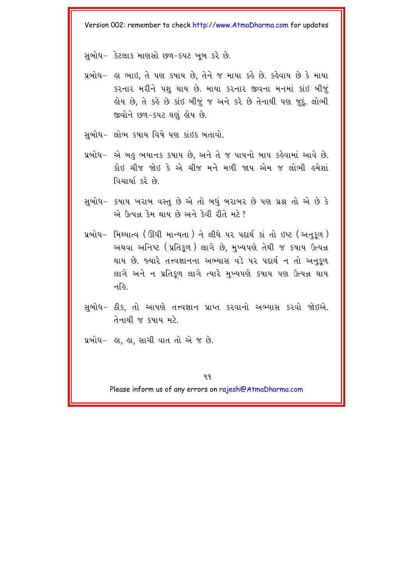સબોધ- કેટલાક માણસો છળ-કપટ ખબ કરે છે.

- પ્રબોધ- હા ભાઇ, તે પણ કપાય છે, તેને જ માયા કહે છે. કહેવાય છે કે માયા  $s$ રનાર મરીને પશુ થાય છે. માયા કરનાર જીવના મનમાં કાંઇ બીજું ક્ષેય છે, તે કહે છે કાંઇ બીજૂં જ અને કરે છે તેનાથી પણ જુદું. લોભી જીવોને છળ-કપટ ઘણું હોય છે.
- સબોધ- લોભ કપાય વિષે પણ કાંઇક બતાવો.
- પ્રબોધ- એ બહુ ભયાનક કપાય છે, અને તે જ પાપનો બાપ કહેવામાં આવે છે. કોઇ ચીજ જોઇ કે એ ચીજ મને મળી જાય એમ જ લોભી હમેશાં વિચાર્યા કરે છે.
- સબોધ- કપાય ખરાબ વસ્તુ છે એ તો બધું બરાબર છે પણ પ્રશ્ન તો એ છે કે  $\omega$  ઉત્પન્ન કેમ થાય છે અને કેવી રીતે મટે?
- $y$ બોધ- મિથ્યાત્વ (ઊંધી માન્યતા) ને લીધે પર પદાર્થ કાં તો ઇષ્ટ (અનુકુળ) અથવા અનિષ્ટ (પ્રતિકૂળ) લાગે છે, મુખ્યપણે તેથી જ કપાય ઉત્પન્ન થાય છે. જ્યારે તત્ત્વજ્ઞાનના અભ્યાસ વડે ૫૨ પદાર્થ ન તો અનકળ લાગે અને ન પ્રતિકળ લાગે ત્યારે મખ્યપણે કપાય પણ ઉત્પન્ન થાય न $\delta$
- સુબોધ- ઠીક, તો આપણે તત્ત્વજ્ઞાન પ્રાપ્ત કરવાનો અભ્યાસ કરવો જોઇએ. તેનાથી જ કપાય મટે
- પ્રબોધ $-$  હા, હા, સાચી વાત તો એ જ છે.

 $99$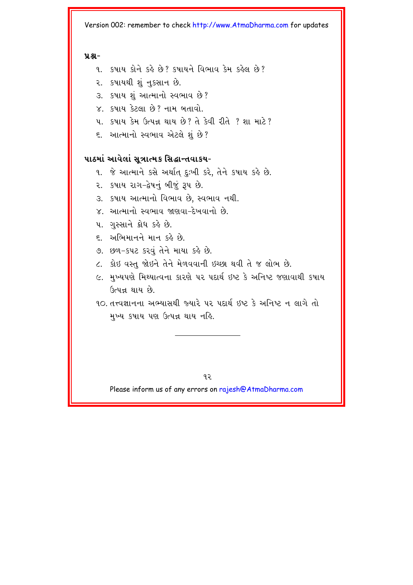#### $9.8 -$

- ૧. કષાય કોને કહે છે? કષાયને વિભાવ કેમ કહેલ છે?
- ૨. કપાયથી શું નુકસાન છે.
- ૩. કષાય શું આત્માનો સ્વભાવ છે?
- $X_1$  કૃષાય કેટલા છે? નામ બતાવો.
- <u>4 इषाय देम ઉत्पन्न थाय છે? ते देवी रीते ? शा माटे?</u>
- ૬. આત્માનો સ્વભાવ એટલે શું છે?

#### પાઠમાં આવેલાં સુત્રાત્મક સિદ્ધાન્તવાકય-

- ૧. જે આત્માને કસે અર્થાત દુઃખી કરે, તેને કપાય કહે છે.
- ૨. કપાય રાગ-દેષનું બીજું રૂપ છે.
- ૩. કપાય આત્માનો વિભાવ છે. સ્વભાવ નથી.
- $X$  આત્માનો સ્વભાવ જાણવા-દેખવાનો છે.
- ૫. ગુસ્સાને ક્રોધ કહે છે.
- $\epsilon$  અભિમાનને માન કહે છે.
- 9. છળ-કપટ કરવું તેને માયા કહે છે.
- ૮. કોઇ વસ્તુ જોઇને તેને મેળવવાની ઇચ્છા થવી તે જ લોભ છે.
- ૯. મુખ્યપણે મિથ્યાત્વના કારણે પર પદાર્થ ઇષ્ટ કે અનિષ્ટ જણાવાથી કપાય ઉત્પન્ન થાય છે.
- 90. તત્ત્વજ્ઞાનના અભ્યાસથી જ્યારે ૫૨ પદાર્થ ઇષ્ટ કે અનિષ્ટ ન લાગે તો મુખ્ય કપાય પણ ઉત્પન્ન થાય નહિ.

 $92$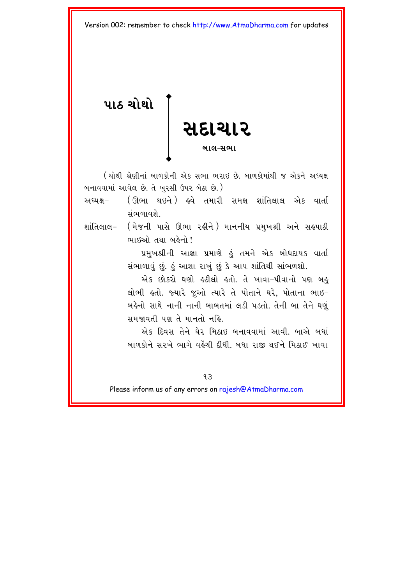<span id="page-18-0"></span>પાઠ ચોથો **e** and the contract of the contract of the contract of the contract of the contract of the contract of the contract of the contract of the contract of the contract of the contract of the contract of the contract of the co <u>સદાચાર</u> **bal-swa** 

 $\overline{1}$  (ચોથી શ્રેણીનાં બાળકોની એક સભા ભરાઈ છે. બાળકોમાંથી જ એકને અધ્યક્ષ બનાવવામાં આવેલ છે. તે ખુરસી ઉપર બેઠા છે.)

- અઘ્યક્ષ- (ઊભા થઇને ) હવે તમારી સમક્ષ શાંતિલાલ એક વાર્તા સંભળાવશે
- શાંતિલાલ- ( મેજની પાસે ઊભા રહીને ) માનનીય પ્રમુખશ્રી અને સહપાઠી ભાઈઓ તથા બહેનો !

પ્રમુખશ્રીની આજ્ઞા પ્રમાણે કું તમને એક બોધદાયક વાર્તા સંભાળાવું છું. કું આશા રાખું છું કે આપ શાંતિથી સાંભળશો.

એક છોકરો ઘણો હઠીલો હતો. તે ખાવા-પીવાનો પણ બહુ eilભી હતો. જ્યારે જૂઓ ત્યારે તે પોતાને ઘરે, પોતાના ભાઇ-બહેનો સાથે નાની નાની બાબતમાં લડી પડતો. તેની બા તેને ઘણું સમજાવતી પણ તે માનતો નહિ.

એક દિવસ તેને ઘેર મિઠાઈ બનાવવામાં આવી. બાએ બધાં બાળકોને સરખે ભાગે વહેંચી દીધી. બધા રાજી થઈને મિઠાઈ ખાવા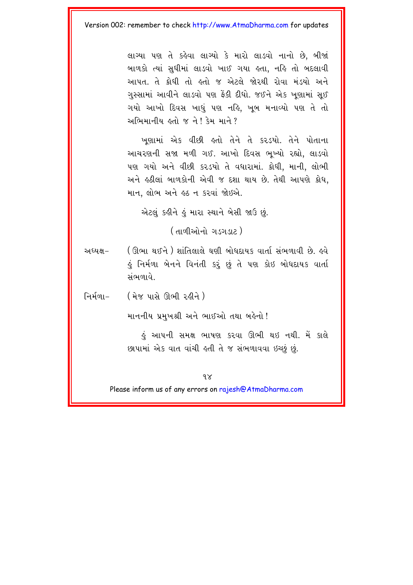લાગ્યા પણ તે કહેવા લાગ્યો કે મારો લાડવો નાનો છે. બીજાં બાળકો ત્યાં સુધીમાં લાડવો ખાઈ ગયા હતા, નહિ તો બદલાવી આપત. તે કોધી તો હતો જ એટલે જોરથી રોવા મંડયો અને ગુસ્સામાં આવીને લાડવો પણ ફેંકી દીધો. જઈને એક ખુણામાં સૂઈ ગયો આખો દિવસ ખાધું પણ નહિ, ખૂબ મનાવ્યો પણ તે તો અભિમાનીય હતો જ ને! કેમ માને ?

ખણામાં એક વીંછી હતો તેને તે કરડયો. તેને પોતાના આચરણની સજા મળી ગઈ. આખો દિવસ ભુખ્યો રહ્યો, લાડવો પણ ગયો અને વીછી કરડયો તે વધારામાં. ક્રોધી, માની, લોભી અને ઙઠીલાં બાળકોની એવી જ દશા થાય છે. તેથી આપણે ક્રોધ, માન, લોભ અને હઠ ન કરવાં જોઇએ.

એટલંક ફીને કું મારા સ્થાને બેસી જાઉ છું.

(तालीઓનો ગડગડાટ)

( ઊભા થઈને ) શાંતિલાલે ઘણી બોધદાયક વાર્તા સંભળાવી છે. લ્વે અઘ્યક્ષ– હું નિર્મળા બેનને વિનંતી કરૂં છું તે પણ કોઇ બોધદાયક વાર્તા સંભળાવે

નિર્મળા $-$ <u>(મેજ પાસે ઊભી રહીને)</u>

માનનીય પ્રમુખશ્રી અને ભાઈઓ તથા બહેનો!

કું આપની સમક્ષ ભાષણ કરવા ઊભી થઇ નથી. મેં કાલે છાપામાં એક વાત વાંચી હતી તે જ સંભળાવવા ઇચ્છું છું.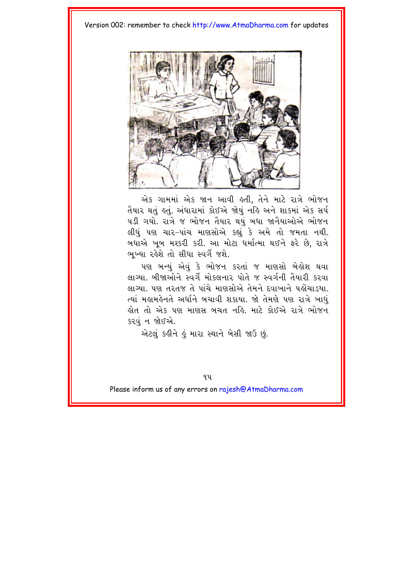

એક ગામમાં એક જાન આવી હતી, તેને માટે રાત્રે ભોજન તૈયાર થતું હતું. અંધારામાં કોઈએ જોયું નહિ અને શાકમાં એક સર્પ ૫ડી ગયો. રાત્રે જ ભોજન તૈયાર થયું બધા જાનૈયાઓએ ભોજન લીધું પણ ચાર-પાંચ માણસોએ કહ્યું કે અમે તો જમતા નથી. બધાએ ખૂબ મશ્કરી કરી. આ મોટા ધર્માત્મા થઈને ફરે છે, રાત્રે ભખ્યા રહેશે તો સીધા સ્વર્ગે જશે.

પણ બન્યું એવું કે ભોજન કરતાં જ માણસો બેલેશ થવા લાગ્યા. બીજાઓને સ્વર્ગે મોકલનાર પોતે જ સ્વર્ગની તૈયારી કરવા લાગ્યા. પણ તરતજ તે પાંચે માણસોએ તેમને દવાખાને પહોંચાડયા. ત્યાં મહામહેનતે અર્ધાને બચાવી શકાયા. જો તેમણે પણ રાત્રે ખાધું ક્ષેત તો એક પણ માણસ બચત નહિ. માટે કોઈએ રાત્રે ભોજન કરવં ન જોઈએ.

એટલં કહીને હું મારા સ્થાને બેસી જાઉ છું.

 $9y$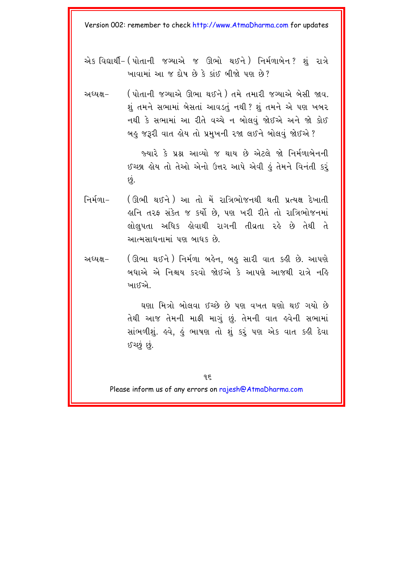- એક વિદ્યાર્થી- ( પોતાની જગ્યાએ જ ઊભો થઈને ) નિર્મળાબેન ? શું રાત્રે ખાવામાં આ જ દોષ છે કે કાંઈ બીજો પણ છે?
- ( પોતાની જગ્યાએ ઊભા થઈને ) તમે તમારી જગ્યાએ બેસી જાવ. અઘ્યક્ષ– શું તમને સભામાં બેસતાં આવડતું નથી ? શું તમને એ પણ ખબર નથી કે સભામાં આ રીતે વચ્ચે ન બોલવું જોઈએ અને જો કોઈ બહુ જરૂરી વાત હોય તો પ્રમુખની રજા લઈને બોલવું જોઈએ?

જ્યારે કે પ્રશ્ન આવ્યો જ થાય છે એટલે જો નિર્મળાબેનની ઈચ્છા હોય તો તેઓ એનો ઉત્તર આપે એવી હું તેમને વિનંતી કરૂં છું.

- નિર્મળા $-$ (ઊભી થઈને ) આ તો મેં રાત્રિભોજનથી થતી પ્રત્યક્ષ દેખાતી હાનિ તરફ સંકેત જ કર્યો છે, પણ ખરી રીતે તો રાત્રિભોજનમાં લોલપતા અધિક ક્રોવાથી રાગની તીવ્રતા રકે છે તેથી તે આત્મસાધનામાં પણ બાધક છે.
- (ઊભા થઈને ) નિર્મળા બહેન, બહુ સારી વાત કહી છે. આપણે અધ્યક્ષ– બધાએ એ નિશ્ચય કરવો જોઈએ કે આપણે આજથી રાત્રે નહિ ખાઈએ..

ઘણા મિત્રો બોલવા ઈચ્છે છે પણ વખત ઘણો થઈ ગયો છે તેથી આજ તેમની માફી માગું છું. તેમની વાત હવેની સભામાં સાંભળીશું. હવે, હું ભાષણ તો શું કરું પણ એક વાત કહી દેવા ઈચ્છું છું.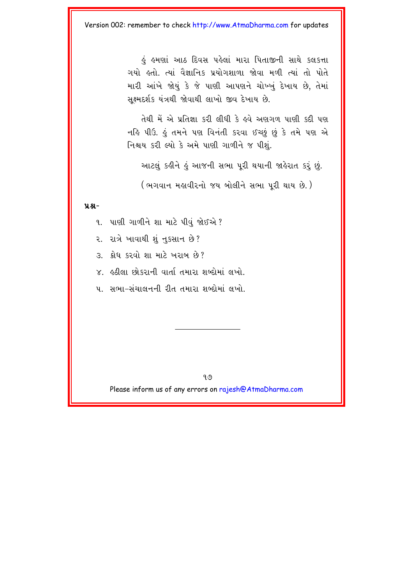ડું હુમણાં આઠ દિવસ પહેલાં મારા પિતાજીની સાથે કલકત્તા ગયો ક્રતો. ત્યાં વૈજ્ઞાનિક પ્રયોગશાળા જોવા મળી ત્યાં તો પોતે મારી આંખે જોયું કે જે પાણી આપણને ચોખ્ખું દેખાય છે, તેમાં સક્ષ્મદર્શક યંત્રથી જોવાથી લાખો જીવ દેખાય છે.

તેથી મેં એ પ્રતિજ્ઞા કરી લીધી કે હવે અણગળ પાણી કદી પણ નહિ પીઉ. હું તમને પણ વિનંતી કરવા ઈચ્છું છું કે તમે પણ એ નિશ્ચય કરી લ્યો કે અમે પાણી ગાળીને જ પીશું.

આટલું કહીને હું આજની સભા પૂરી થયાની જાહેરાત કરું છું.

(ભગવાન મહાવીરનો જય બોલીને સભા પરી થાય છે.)

#### $9.8 -$

૧. પાણી ગાળીને શા માટે પીવું જોઈએ ?

૨. રાત્રે ખાવાથી શું નુકસાન છે?

 $3 - 28$  8  $20$  911  $41$  2  $421$  64  $29$  ?

૪. કઠીલા છોકરાની વાર્તા તમારા શબ્દોમાં લખો.

૫. સભા-સંચાલનની રીત તમારા શબ્દોમાં લખો.

 $9.9$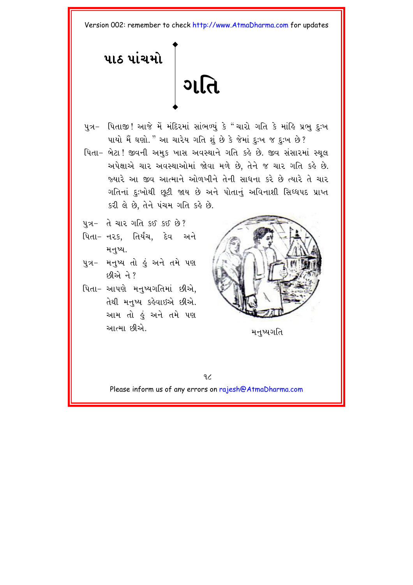<span id="page-23-0"></span>પાઠ પાંચમો ગતિ

- પુત્ર- પિતાજી! આજે મેં મંદિરમાં સાંભળ્યું કે "ચારો ગતિ કે માંહિ પ્રભુ દઃખ પાયો મૈં ઘણો." આ ચારેય ગતિ શું છે કે જેમાં દુઃખ જ દુઃખ છે?
- પિતા- બેટા! જીવની અમક ખાસ અવસ્થાને ગતિ કહે છે. જીવ સંસારમાં સ્થલ અપેક્ષાએ ચાર અવસ્થાઓમાં જોવા મળે છે, તેને જ ચાર ગતિ કહે છે. જ્યારે આ જીવ આત્માને ઓળખીને તેની સાધના કરે છે ત્યારે તે ચાર ગતિનાં દુઃખોથી છૂટી જાય છે અને પોતાનું અવિનાશી સિઘ્ધપદ પ્રાપ્ત કરી લે છે, તેને પંચમ ગતિ કહે છે.
- <u>પુત્ર- તે ચાર ગતિ કઈ કઈ છે?</u>
- પિતા- નરક, તિર્યંચ, દેવ અને મનુષ્ય.
- પુત્ર- મનુષ્ય તો હું અને તમે પણ  $592$ મેને ?
- પિતા- આપણે મનુષ્યગતિમાં છીએ. તેથી મનુષ્ય કહેવાઇએ છીએ. આમ તો હું અને તમે પણ આત્મા છીએ.



મનુષ્યગતિ

 $9<sub>6</sub>$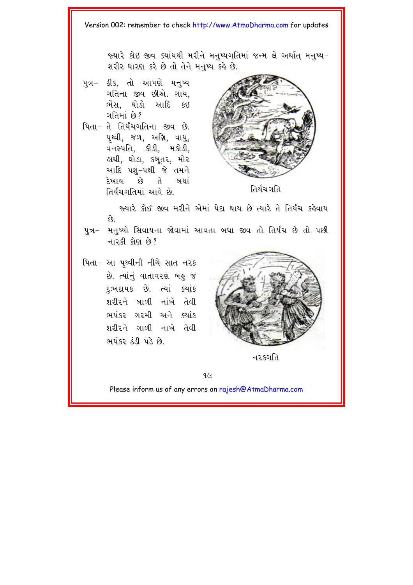જ્યારે કોઇ જીવ ક્યાંયથી મરીને મનખ્યગતિમાં જન્મ લે અર્થાત મનષ્ય-શરીર ધારણ કરે છે તો તેને મનખ્ય કહે છે.

- પુત્ર- ઠીક, તો આપણે મનુષ્ય ગતિના જીવ છીએ. ગાય, ભેંસ. ઘોડો આદિ કઇ <u> ગતિમાં છે?</u>
- પિતા- તે તિર્યંચગતિના જીવ છે. પથ્વી, જળ, અગ્નિ, વાયુ, વનસ્પતિ. કીડી. મકોડી. હાથી, ઘોડા, કબુતર, મોર આદિ પશ-પક્ષી જે તમને દેખાય છે તે બધાં તિર્યંચગતિમાં આવે છે.



તિર્યંચગતિ

જ્યારે કોઈ જીવ મરીને એમાં પેદા થાય છે ત્યારે તે તિર્યંચ કહેવાય  $\hat{\mathfrak{g}}$ 

- પત્ર- મનપ્યો સિવાયના જોવામાં આવતા બધા જીવ તો તિર્યંચ છે તો પછી  $\frac{1}{2}$   $\frac{1}{2}$   $\frac{1}{2}$   $\frac{1}{2}$   $\frac{1}{2}$   $\frac{1}{2}$   $\frac{1}{2}$   $\frac{1}{2}$   $\frac{1}{2}$   $\frac{1}{2}$   $\frac{1}{2}$   $\frac{1}{2}$   $\frac{1}{2}$   $\frac{1}{2}$   $\frac{1}{2}$   $\frac{1}{2}$   $\frac{1}{2}$   $\frac{1}{2}$   $\frac{1}{2}$   $\frac{1}{2}$   $\frac{1}{2}$   $\frac$
- પિતા- આ પૃથ્વીની નીચે સાત નરક છે. ત્યાંનં વાતાવરણ બહુ જ દુ:ખદાયક છે. ત્યાં ક્યાંક શરીરને બાળી નાંખે તેવી ભયંકર ગરમી અને ક્યાંક શરીરને ગાળી નાખે તેવી ભયંકર ઠંડી પડે છે.



न२६गति

 $9<sub>c</sub>$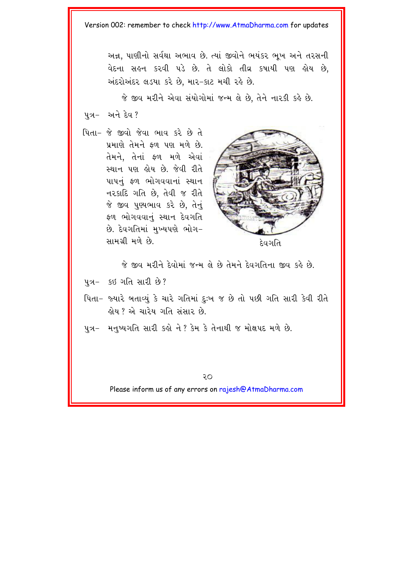અન્ન. પાણીનો સર્વથા અભાવ છે. ત્યાં જીવોને ભયંકર ભખ અને તરસની વેદના સહન કરવી પડે છે. તે લોકો તીવ્ર કપાયી પણ હોય છે. અંદરોઅંદર લડયા કરે છે, માર-કાટ મચી રહે છે.

જે જીવ મરીને એવા સંયોગોમાં જન્મ લે છે, તેને નારકી કહે છે. પત્ર- અને દેવ?

.<br>.. પિતા- જે જીવો જેવા ભાવ કરે છે તે પ્રમાણે તેમને કળ પણ મળે છે. તેમને, તેનાં કળ મળે એવાં સ્થાન પણ હોય છે. જેવી રીતે પાપનું ફળ ભોગવવાનાં સ્થાન નરકાદિ ગતિ છે, તેવી જ રીતે જે જીવ પુણ્યભાવ કરે છે, તેનું ફળ ભોગવવાનું સ્થાન દેવગતિ છે. દેવગતિમાં મુખ્યપણે ભોગ− samg/I mze Ke. devgit



જે જીવ મરીને દેવોમાં જન્મ લે છે તેમને દેવગતિના જીવ કહે છે.

 $47 - 58$  old and  $8$ ?

- પિતા– જ્યારે બતાવ્યું કે ચારે ગતિમાં દુઃખ જ છે તો પછી ગતિ સારી કેવી રીતે લોય ? એ ચારેય ગતિ સંસાર છે.
- પુત્ર- મનુષ્યગતિ સારી કહો ને ? કેમ કે તેનાથી જ મોક્ષપદ મળે છે.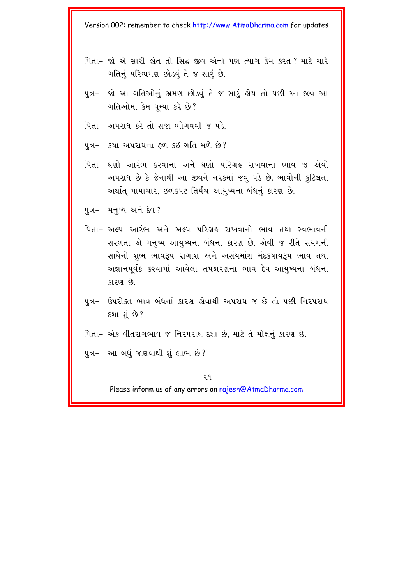- પિતા– જો એ સારી હોત તો સિદ્ધ જીવ એનો પણ ત્યાગ કેમ કરત? માટે ચારે ગતિનું પરિભ્રમણ છોડવું તે જ સારું છે.
- પુત્ર- જો આ ગતિઓનું ભ્રમણ છોડવું તે જ સારૂં હોય તો પછી આ જીવ આ ગતિઓમાં કેમ ઘમ્યા કરે છે?
- પિતા– અપરાધ કરે તો સજા ભોગવવી જ પડે.
- પુત્ર- કયા અપરાધના ફળ કઇ ગતિ મળે છે?
- પિતા– ઘણો આરંભ કરવાના અને ઘણો પરિગ્રહ રાખવાના ભાવ જ એવો અપરાધ છે કે જેનાથી આ જીવને નરકમાં જવું પડે છે. ભાવોની કુટિલતા અર્થાત માયાચાર, છળકપટ તિર્યંચ–આયુષ્યના બંધનું કારણ છે.
- પુત્ર– મનુષ્ય અને દેવ?
- પિતા– અલ્પ આરંભ અને અલ્પ પરિગ્રહ રાખવાનો ભાવ તથા સ્વભાવની સરળતા એ મનુષ્ય–આયુષ્યના બંધના કારણ છે. એવી જ રીતે સંયમની સાથેનો શુભ ભાવરૂપ રાગાંશ અને અસંયમાંશ મંદકષાયરૂપ ભાવ તથા અજ્ઞાનપૂર્વક કરવામાં આવેલા તપશ્ચરણના ભાવ દેવ-આયુષ્યના બંધનાં કારણ છે.
- પુત્ર- ઉપરોક્ત ભાવ બંધનાં કારણ હોવાથી અપરાધ જ છે તો પછી નિરપરાધ દશા શું છે?
- પિતા– એક વીતરાગભાવ જ નિરપરાધ દશા છે, માટે તે મોક્ષનું કારણ છે.
- પુત્ર- આ બધું જાણવાથી શું લાભ છે?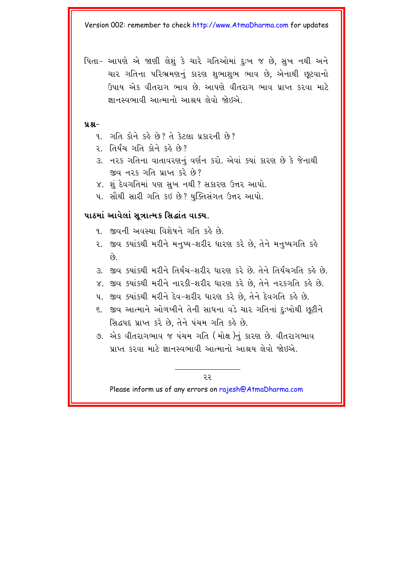પિતા– આપણે એ જાણી લેશું કે ચારે ગતિઓમાં દઃખ જ છે. સુખ નથી અને ચાર ગતિના પરિભ્રમણનું કારણ શભાશભ ભાવ છે. એનાથી છુટવાનો ઉપાય એક વીતરાગ ભાવ છે. આપણે વીતરાગ ભાવ પ્રાપ્ત કરવા માટે જ્ઞાનસ્વભાવી આત્માનો આશ્રય લેવો જોઈએ.

#### **ÝÆ-**

- ૧. ગતિ કોને કહે છે? તે કેટલા પ્રકારની છે?
- ર તિર્યંચ ગતિ કોને કહે છે?
- ૩. નરક ગતિના વાતાવરણનું વર્ણન કરો. એવાં ક્યાં કારણ છે કે જેનાથી જીવ નરક ગતિ પ્રાપ્ત કરે છે?
- ૪. શું દેવગતિમાં પણ સુખ નથી ? સકારણ ઉત્તર આપો.
- ૫. સૌથી સારી ગતિ કઇ છે? યુક્તિસંગત ઉત્તર આપો.

#### <u>પાઠમાં આવેલાં સુત્રાત્મક સિદ્ધાંત વાક્ય.</u>

- $\alpha$  ss and  $\alpha$  is a separate from  $\alpha$
- ૨. જીવ ક્યાંકથી મરીને મનષ્ય-શરીર ધારણ કરે છે. તેને મનષ્યગતિ કહે  $\mathfrak{g}$ .
- 3. જીવ ક્યાંકથી મરીને તિર્યંચ-શરીર ધારણ કરે છે. તેને તિર્યચગતિ કહે છે.
- $\times$ . જીવ ક્યાંકથી મરીને નારકી-શરીર ધારણ કરે છે, તેને નરકગતિ કહે છે.
- પ. જીવ ક્યાંકથી મરીને દેવ-શરીર ધારણ કરે છે, તેને દેવગતિ કહે છે.
- ૬. જીવ આત્માને ઓળખીને તેની સાધના વડે ચાર ગતિનાં દુઃખોથી છુટીને સિદ્ધપદ પ્રાપ્ત કરે છે, તેને પંચમ ગતિ કહે છે.
- ૭. એક વીતરાગભાવ જ પંચમ ગતિ (મોક્ષ)નું કારણ છે. વીતરાગભાવ પ્રાપ્ત કરવા માટે જ્ઞાનસ્વભાવી આત્માનો આશ્રય લેવો જોઈએ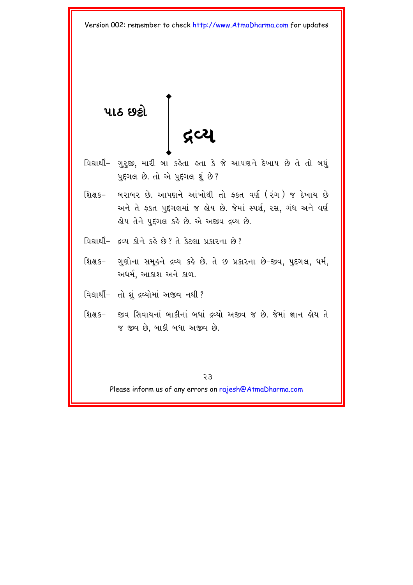પાઠ છ**કો ãVy** 

- <span id="page-28-0"></span>વિદ્યાર્થી- ગુરૂજી, મારી બા કહેતા હતા કે જે આપણને દેખાય છે તે તો બધું પુદ્દગલ છે. તો એ પુદ્દગલ શું છે?
- શિક્ષક– બરાબર છે. આપણને આંખોથી તો ફકત વર્ણ (રંગ ) જ દેખાય છે અને તે ફકત પદગલમાં જ હોય છે. જેમાં સ્પર્શ. રસ. ગંધ અને વર્ણ હોય તેને પુદ્દગલ કહે છે. એ અજીવ દ્રવ્ય છે.
- વિદ્યાર્થી- હવ્ય કોને કહે છે? તે કેટલા પ્રકારના છે?
- શિક્ષક– ગુણોના સમૂહને દ્રવ્ય કહે છે. તે છ પ્રકારના છે-જીવ, પુદ્દગલ, ધર્મ, અર્ધર્મ, આકાશ અને કાળ.
- વિદ્યાર્થી- તો શું દ્રવ્યોમાં અજીવ નથી?
- શિક્ષક- જીવ સિવાયનાં બાકીનાં બધાં દ્રવ્યો અજીવ જ છે. જેમાં જ્ઞાન હોય તે જ જીવ છે. બાકી બધા અજીવ છે.

23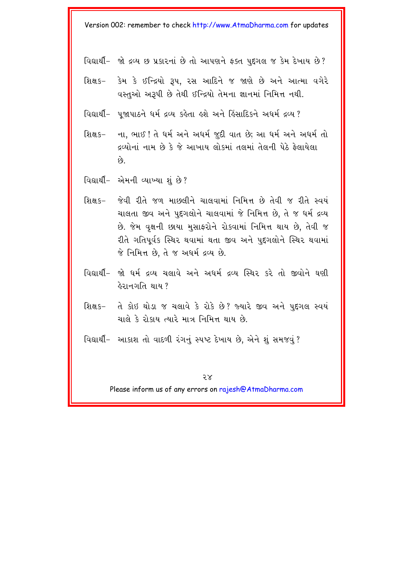વિદ્યાર્થી- જો દ્રવ્ય છ પ્રકારનાં છે તો આપણને ફક્ત પુદ્દગલ જ કેમ દેખાય છે?

- શિક્ષક- કેમ કે ઈન્દ્રિયો રૂપ. રસ આદિને જ જાણે છે અને આત્મા વગેરે વસ્તુઓ અરૂપી છે તેથી ઈન્દ્રિયો તેમના જ્ઞાનમાં નિમિત્ત નથી.
- વિદ્યાર્થી- પુજાપાઠને ધર્મ દ્રવ્ય કહેતા હશે અને હિંસાદિકને અધર્મ દ્રવ્ય?
- શિક્ષક− ુના, ભાઈ ! તે ધર્મ અને અધર્મ જુદી વાત છે; આ ધર્મ અને અધર્મ તો દ્રવ્યોનાં નામ છે કે જે આખાય લોકમાં તલમાં તેલની પેઠે ફેલાયેલા  $\hat{y}$ .
- વિદ્યાર્થી- એમની વ્યાખ્યા શું છે?
- શિક્ષક- જેવી રીતે જળ માછલીને ચાલવામાં નિમિત્ત છે તેવી જ રીતે સ્વયં ચાલતા જીવ અને પુદગલોને ચાલવામાં જે નિમિત્ત છે. તે જ ધર્મ દ્રવ્ય છે. જેમ વૃક્ષની છાયા મુસાફરોને રોકવામાં નિમિત્ત થાય છે, તેવી જ રીતે ગતિપર્વક સ્થિર થવામાં થતા જીવ અને પદગલોને સ્થિર થવામાં જે નિમિત્ત છે, તે જ અધર્મ દ્રવ્ય છે.
- વિદ્યાર્થી- જો ધર્મ દ્રવ્ય ચલાવે અને અધર્મ દ્રવ્ય સ્થિર કરે તો જીવોને ઘણી ફેરાનગતિ થાય?
- તે કોઇ થોડા જ ચલાવે કે રોકે છે? જ્યારે જીવ અને પુદગલ સ્વયં ગિ*ક્ષ* ૬– ચાલે કે રોકાય ત્યારે માત્ર નિમિત્ત થાય છે.
- વિદ્યાર્થી- આકાશ તો વાદળી રંગનું સ્પષ્ટ દેખાય છે, એને શું સમજવું?

 $58$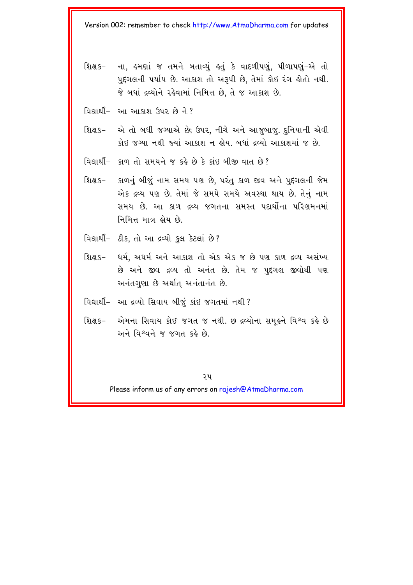- શિક્ષક- ના. હુમણાં જ તમને બતાવ્યં હતું કે વાદળીપણું. પીળાપણું-એ તો પુદ્દગલની પર્યાય છે. આકાશ તો અરૂપી છે, તેમાં કોઇ રંગ હોતો નથી. જે બધાં દ્રવ્યોને રહેવામાં નિમિત્ત છે, તે જ આકાશ છે.
- વિદ્યાર્થી- આ આકાશ ઉપર છે ને?
- શિક્ષક- એ તો બધી જગ્યાએ છે; ઉપર, નીચે અને આજુબાજુ. દુનિયાની એવી કોઇ જગ્યા નથી જ્યાં આકાશ ન લોય. બધાં દ્રવ્યો આકાશમાં જ છે.
- $\alpha$ alle supersion and  $\alpha$  seed in the Keine Containst Report in the  $\alpha$
- શિક્ષક– કાળનું બીજું નામ સમય પણ છે, પરંતુ કાળ જીવ અને પુદ્દગલની જેમ એક દ્રવ્ય પણ છે. તેમાં જે સમયે સમયે અવસ્થા થાય છે. તેનું નામ સમય છે. આ કાળ દ્રવ્ય જગતના સમસ્ત પદાર્થોના પરિણમનમાં નિમિત્ત માત્ર હોય છે.
- વિદ્યાર્થી- ઠીક, તો આ દ્રવ્યો કુલ કેટલાં છે?
- શિક્ષક– ઘર્મ. અધર્મ અને આકાશ તો એક એક જ છે પણ કાળ દ્રવ્ય અસંખ્ય છે અને જીવ દ્રવ્ય તો અનંત છે. તેમ જ પુદ્દગલ જીવોથી પણ અનંતગુણા છે અર્થાત અનંતાનંત છે.
- વિદ્યાર્થી- આ દ્રવ્યો સિવાય બીજૂં કાંઇ જગતમાં નથી?
- શિક્ષક- એમના સિવાય કોઈ જગત જ નથી. છ દ્રવ્યોના સમરૂને વિશ્વ કરે છે અને વિશ્વને જ જગત કહે છે.

૨૫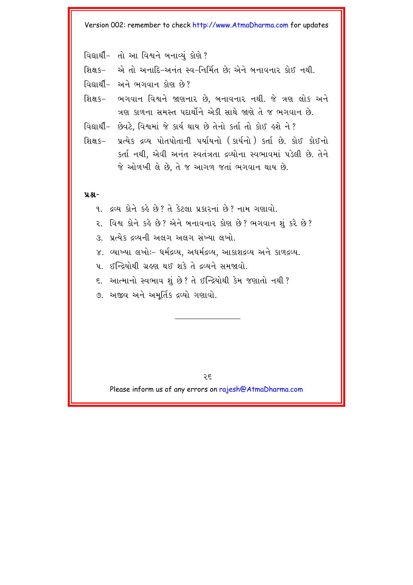- વિદ્યાર્થી- તો આ વિશ્વને બનાવ્યં કોણે?
- શિક્ષક- એ તો અનાદિ-અનંત સ્વ-નિર્મિત છે; એને બનાવનાર કોઈ નથી.
- વિદ્યાર્થી- અને ભગવાન કોણ છે?
- શિક્ષક- ભગવાન વિશ્વને જાણનાર છે, બનાવનાર નથી. જે ત્રણ લોક અને ત્રણ કાળના સમસ્ત પદાર્થીને એકી સાથે જાણે તે જ ભગવાન છે.
- વિદ્યાર્થી- છેવટે, વિશ્વમાં જે કાર્ય થાય છે તેનો કર્તા તો કોઈ હશે ને?
- શિક્ષક– પ્રત્યેક દ્રવ્ય પોતપોતાની પર્યાયનો (કાર્યનો) કર્તા છે. કોઈ કોઈનો કર્તા નથી. એવી અનંત સ્વતંત્રતા દ્રવ્યોના સ્વભાવમાં પડેલી છે. તેને જે ઓળખી લે છે. તે જ આગળ જતાં ભગવાન થાય છે.

#### **ÝÆ-**

- ૧. દ્રવ્ય કોને કહે છે? તે કેટલા પ્રકારનાં છે? નામ ગણાવો.
- ૨. વિશ્વ કોને કહે છે? એને બનાવનાર કોણ છે? ભગવાન શું કરે છે?
- 3. પ્રત્યેક દ્રવ્યની અલગ અલગ સંખ્યા લખો.
- $\times$ . વ્યાખ્યા લખોઃ– ધર્મદ્રવ્ય, અધર્મદ્રવ્ય, આકાશદ્રવ્ય અને કાળદ્રવ્ય.
- $\mu$   $\kappa$   $\kappa$   $\kappa$   $\kappa$   $\kappa$   $\kappa$   $\kappa$   $\kappa$   $\kappa$   $\kappa$   $\kappa$   $\kappa$   $\kappa$   $\kappa$   $\kappa$   $\kappa$   $\kappa$   $\kappa$   $\kappa$   $\kappa$   $\kappa$   $\kappa$   $\kappa$   $\kappa$   $\kappa$   $\kappa$   $\kappa$   $\kappa$   $\kappa$   $\kappa$   $\kappa$   $\kappa$   $\kappa$   $\kappa$   $\kappa$   $\kappa$
- ૬. આત્માનો સ્વભાવ શું છે? તે ઈન્દ્રિયોથી કેમ જણાતો નથી?
- ૭. અજીવ અને અમૂર્તિક દ્રવ્યો ગણાવો.

२६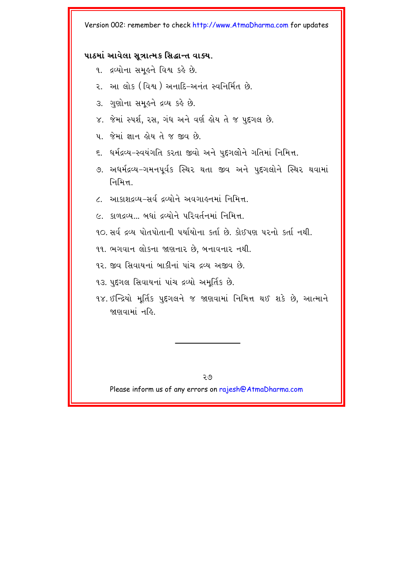#### **પાઠમાં આવેલા સત્રાત્મક સિદ્ધાન્ત વાક્ય.**

- ૧. દ્રવ્યોના સમૂહને વિશ્વ કહે છે.
- 2. આ લોક (વિશ્વ) અનાદિ-અનંત સ્વનિર્મિત છે.
- 3. ગુણોના સમૂહને દ્રવ્ય કહે છે.
- ૪. જેમાં સ્પર્શ, રસ, ગંધ અને વર્ણ હોય તે જ પુદ્દગલ છે.

 $\mu$  % . We have a set of  $\mu$  of  $\alpha$  of  $\mu$ 

- ૬. ધર્મદ્રવ્ય–સ્વયંગતિ કરતા જીવો અને પુદ્દગલોને ગતિમાં નિમિત્ત.
- ૭. અધર્મદ્રવ્ય−ગમનપર્વક સ્થિર થતા જીવ અને પદગલોને સ્થિર થવામાં निभित्त
- <u>૮. આકાશદવ્ય–સર્વ દ્રવ્યોને અવગાઢનમાં નિમિત્ત.</u>
- $\alpha$  કાળદવ્ય ... બધાં દવ્યોને પરિવર્તનમાં નિમિત્ત.
- 10. સર્વ *દ*વ્ય પોતપોતાની પર્યાયોના કર્તા છે. કોઈપણ પરનો કર્તા નથી.

૧૧. ભગવાન લોકના જાણનાર છે, બનાવનાર નથી.

- ૧૨. જીવ સિવાયનાં બાકીનાં પાંચ દવ્ય અજીવ છે.
- ૧૩. પુદ્દગલ સિવાયનાં પાંચ દ્રવ્યો અમૂર્તિક છે.
- ૧૪. ઈન્દ્રિયો મર્તિક પુદ્દગલને જ જાણવામાં નિમિત્ત થઈ શકે છે. આત્માને જાણવામાં નહિ

२७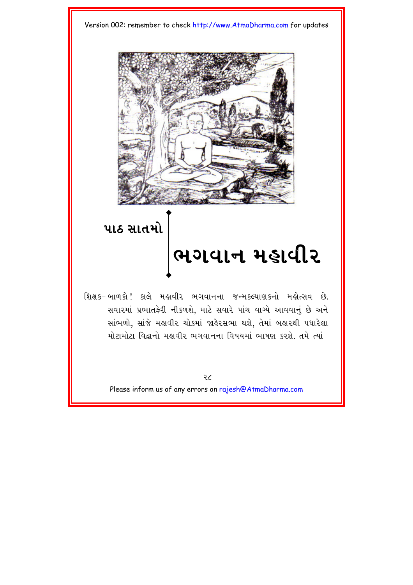



# પાઠ સાતમો

<u>ભગવાન મહાવીર</u>

શિક્ષક- બાળકો! કાલે મહાવીર ભગવાનના જન્મકલ્યાણકનો મહોત્સવ છે. સવારમાં પ્રભાતફેરી નીકળશે, માટે સવારે પાંચ વાગ્યે આવવાનું છે અને સાંભળો, સાંજે મહાવીર ચોકમાં જાહેરસભા થશે. તેમાં બહારથી પધારેલા મોટામોટા વિદ્વાનો મહાવીર ભગવાનના વિષયમાં ભાષણ કરશે. તમે ત્યાં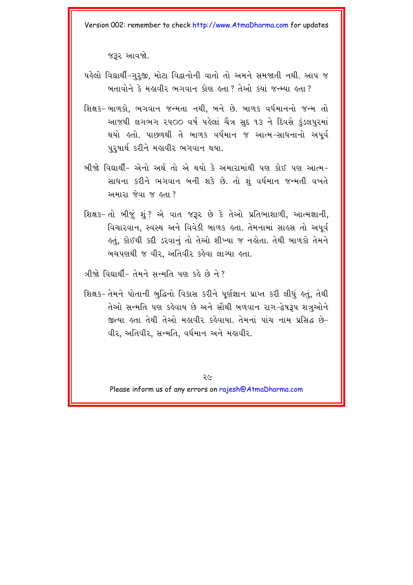જરૂર આવજો.

- પહેલો વિદ્યાર્થી-ગુરજી, મોટા વિદ્વાનોની વાતો તો અમને સમજાતી નથી. આપ જ બતાવોને કે મહાવીર ભગવાન કોણ હતા ? તેઓ કયાં જન્મ્યા હતા ?
- શિક્ષક- બાળકો, ભગવાન જન્મતા નથી, બને છે. બાળક વર્ધમાનનો જન્મ તો આજથી લગભગ ૨૫૦૦ વર્ષ પહેલાં ચૈત્ર સુદ ૧૩ ને દિવસે કુંડલપુરમાં થયો હતો. પાછળથી તે બાળક વર્ધમાન જ આત્મ-સાધનાનો અપૂર્વ પુરૂષાર્થ કરીને મહાવીર ભગવાન થયા.
- બીજો વિદ્યાર્થી- એનો અર્થ તો એ થયો કે અમારામાંથી પણ કોઈ પણ આત્મ-સાધના કરીને ભગવાન બની શકે છે. તો શું વર્ધમાન જન્મતી વખતે અમારા જેવા જ હતા ?
- શિક્ષક-તો બીજું શું ? એ વાત જરૂર છે કે તેઓ પ્રતિભાશાળી, આત્મજ્ઞાની, વિચારવાન, સ્વસ્થ અને વિવેકી બાળક હતા. તેમનામાં સાહસ તો અપૂર્વ કતું, કોઈથી કદી ડરવાનું તો તેઓ શીખ્યા જ નકોતા. તેથી બાળકો તેમને બચપણથી જ વીર, અતિવીર કહેવા લાગ્યા હતા.

ત્રીજો વિદ્યાર્થી- તેમને સન્મતિ પણ કહે છે ને?

શિક્ષક-તેમને પોતાની બુદ્ધિનો વિકાસ કરીને પૂર્ણજ્ઞાન પ્રાપ્ત કરી લીધું હતું. તેથી તેઓ સન્મતિ પણ કહેવાય છે અને સૌથી બળવાન રાગ-દ્વેષરૂપ શત્રુઓને જીત્યા હતા તેથી તેઓ મહાવીર કહેવાયા. તેમનાં પાંચ નામ પ્રસિદ્ધ છે-વીર, અતિવીર, સન્મતિ, વર્ધમાન અને મહાવીર.

२८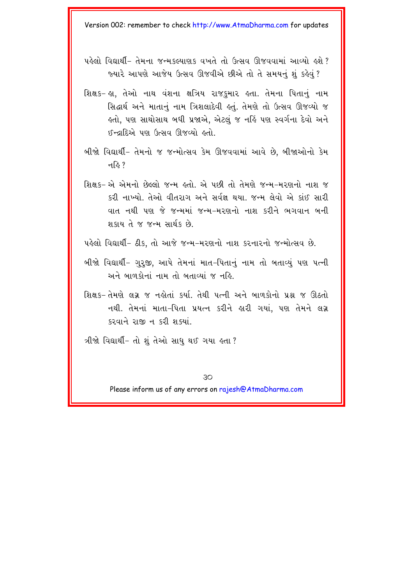- પહેલો વિદ્યાર્થી- તેમના જન્મકલ્યાણક વખતે તો ઉત્સવ ઊજવવામાં આવ્યો હશે? જ્યારે આપણે આજેય ઉત્સવ ઊજવીએ છીએ તો તે સમયનં શંકહેવં ?
- શિક્ષક− હા, તેઓ નાથ વંશના ક્ષત્રિય રાજકુમાર હતા. તેમના પિતાનું નામ સિદ્ધાર્થ અને માતાનં નામ ત્રિશલાદેવી કતં. તેમણે તો ઉત્સવ ઊજવ્યો જ હતો, પણ સાથોસાથ બધી પ્રજાએ, એટલું જ નહિં પણ સ્વર્ગના દેવો અને ઈન્દ્રાદિએ પણ ઉત્સવ ઊજવ્યો હતો.
- બીજો વિદ્યાર્થી- તેમનો જ જન્મોત્સવ કેમ ઊજવવામાં આવે છે. બીજાઓનો કેમ नडि ?
- શિક્ષક- એ એમનો છેલ્લો જન્મ હતો. એ પછી તો તેમણે જન્મ-મરણનો નાશ જ કરી નાખ્યો. તેઓ વીતરાગ અને સર્વજ્ઞ થયા. જન્મ લેવો એ કાંઈ સારી વાત નથી પણ જે જન્મમાં જન્મ-મરણનો નાશ કરીને ભગવાન બની શકાય તે જ જન્મ સાર્થક છે.
- પહેલો વિદ્યાર્થી- ઠીક, તો આજે જન્મ-મરણનો નાશ કરનારનો જન્મોત્સવ છે.
- બીજો વિદ્યાર્થી- ગુરૂજી, આપે તેમનાં માત-પિતાનું નામ તો બતાવ્યું પણ પત્ની અને બાળકોનાં નામ તો બતાવ્યાં જ નહિ.
- શિક્ષક-તેમણે લગ્ન જ નહોતાં કર્યા. તેથી પત્ની અને બાળકોનો પ્રશ્ન જ ઊઠતો નથી. તેમનાં માતા-પિતા પ્રયત્ન કરીને હારી ગયાં, પણ તેમને લગ્ન કરવાને રાજી ન કરી શક્યાં.
- ત્રીજો વિદ્યાર્થી- તો શું તેઓ સાધુ થઈ ગયા હતા ?

 $30$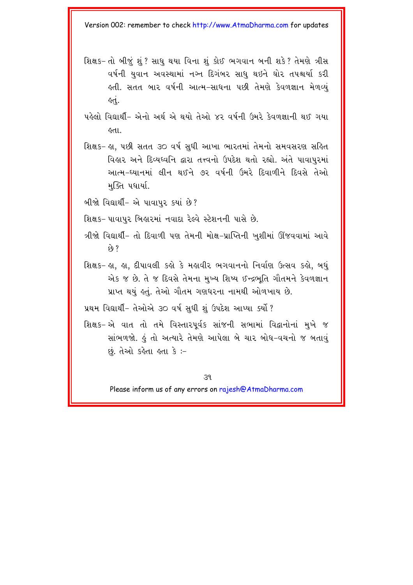- શિક્ષક- તો બીજું શું ? સાધુ થયા વિના શું કોઈ ભગવાન બની શકે ? તેમણે ત્રીસ વર્ષની યુવાન અવસ્થામાં નગ્ન દિગંબર સાધુ થઇને ઘોર તપશ્ચર્યા કરી લ્તી. સતત બાર વર્ષની આત્મ-સાધના પછી તેમણે કેવળજ્ઞાન મેળવ્યું ર્લ.
- પહેલો વિદ્યાર્થી- એનો અર્થ એ થયો તેઓ ૪૨ વર્ષની ઉમરે કેવળજ્ઞાની થઈ ગયા १५।
- શિક્ષક- હા, પછી સતત ૩૦ વર્ષ સુધી આખા ભારતમાં તેમનો સમવસરણ સહિત વિહાર અને દિવ્યધ્વનિ દ્વારા તત્ત્વનો ઉપદેશ થતો રહ્યો. અંતે પાવાપુરમાં આત્મ-ઘ્યાનમાં લીન થઈને ૭૨ વર્ષની ઉમરે દિવાળીને દિવસે તેઓ મુક્તિ પધાર્યા.
- બીજો વિદ્યાર્થી- એ પાવાપુર કયાં છે?

શિક્ષક- પાવાપુર બિહારમાં નવાદા રેલ્વે સ્ટેશનની પાસે છે.

- ત્રીજો વિદ્યાર્થી- તો દિવાળી પણ તેમની મોક્ષ-પ્રાપ્તિની ખુશીમાં ઊંજવવામાં આવે  $\hat{c}$  ?
- શિક્ષક- જ્ઞા. જ્ઞા. દીપાવલી કહ્યે કે મહાવીર ભગવાનનો નિર્વાણ ઉત્સવ કહ્યે. બધં એક જ છે. તે જ દિવસે તેમના મુખ્ય શિષ્ય ઈન્દ્રભૂતિ ગૌતમને કેવળજ્ઞાન પ્રાપ્ત થયું હતું. તેઓ ગૌતમ ગણધરના નામથી ઓળખાય છે.

પ્રથમ વિદ્યાર્થી- તેઓએ ૩૦ વર્ષ સધી શં ઉપદેશ આપ્યા ક્યોં ?

શિક્ષક-એ વાત તો તમે વિસ્તારપૂર્વક સાંજની સભામાં વિદ્વાનોનાં મુખે જ સાંભળજો. હું તો અત્યારે તેમણે આપેલા બે ચાર બોધ-વચનો જ બતાવું છું. તેઓ કહેતા હતા કે :-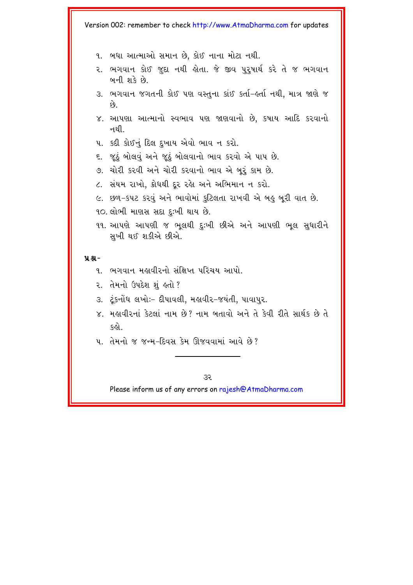- ૧. બધા આત્માઓ સમાન છે. કોઈ નાના મોટા નથી.
- ૨. ભગવાન કોઈ જુદા નથી હોતા. જે જીવ પુરૂષાર્થ કરે તે જ ભગવાન બની શકે છે
- ૩. ભગવાન જગતની કોઈ પણ વસ્તુના કાંઈ કર્તા-હર્તા નથી, માત્ર જાણે જ  $69.$
- ૪. આપણા આત્માનો સ્વભાવ પણ જાણવાનો છે. કષાય આદિ કરવાનો નથી
- ૫. કદી કોઈનું દિલ દખાય એવો ભાવ ન કરો.
- ૬. જુઠું બોલવું અને જુઠું બોલવાનો ભાવ કરવો એ પાપ છે.
- ૭. ચોરી કરવી અને ચોરી કરવાનો ભાવ એ બરું કામ છે.
- ૮. સંયમ રાખો. ક્રોધથી દર રહેા અને અભિમાન ન કરો.
- ૯. છળ-કપટ કરવું અને ભાવોમાં કુટિલતા રાખવી એ બહુ બરી વાત છે.
- 90. લોભી માણસ સદા દઃખી થાય છે.
- ૧૧. આપણે આપણી જ ભુલથી દુઃખી છીએ અને આપણી ભુલ સુધારીને સખી થઈ શકીએ છીએ.

#### $9.8 -$

- ૧. ભગવાન મહાવીરનો સંક્ષિપ્ત પરિચય આપો.
- ૨. તેમનો ઉપદેશ શું હતો?
- ૩. ટંકનોંધ લખોઃ- દીપાવલી, મહાવીર-જયંતી, પાવાપુર.
- ૪. મહાવીરનાં કેટલાં નામ છે? નામ બતાવો અને તે કેવી રીતે સાર્થક છે તે કહો.
- ૫. તેમનો જ જન્મ-દિવસ કેમ ઊજવવામાં આવે છે?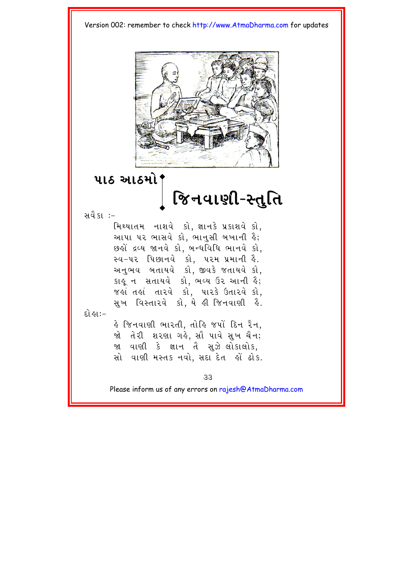

### પાઠ આઠમો*'*

# જિનવાણી-સ્તુતિ

સવૈકા $:=$ 

મિથ્યાતમ નાશવે કો, જ્ઞાનકે પ્રકાશવે કો, આપા પર ભાસવે કો. ભાનસી બખાની હૈ;  $y$ ૂ દ્રવ્ય જાનવે કો, બન્ધવિધિ ભાનવે કો, સ્વ-૫૨ પિછાનવે કો, ૫૨મ પ્રમાની હૈ. અનુભવ બતાયવે કો, જીવકે જતાયવે કો,  $k$ કાર્યુન સતાયવે કો, ભવ્ય ઉર આની હૈ;  $\delta$ જે તે તારવે કો, પારકે ઉતારવે કો, સૂખ વિસ્તારવે કો, યે હી જિનવાણી હૈ.

દો હા:–

કે જિનવાણી ભારતી, તોકિ જપોં દિન રૈન, જો તેરી શરણા ગહે.સો પાવે સખ ચૈન; જા વાણી કે જ્ઞાન તૈ સૂઝે લોકાલોક, સો વાણી મસ્તક નવો, સદા દેત હોં ઢોક.